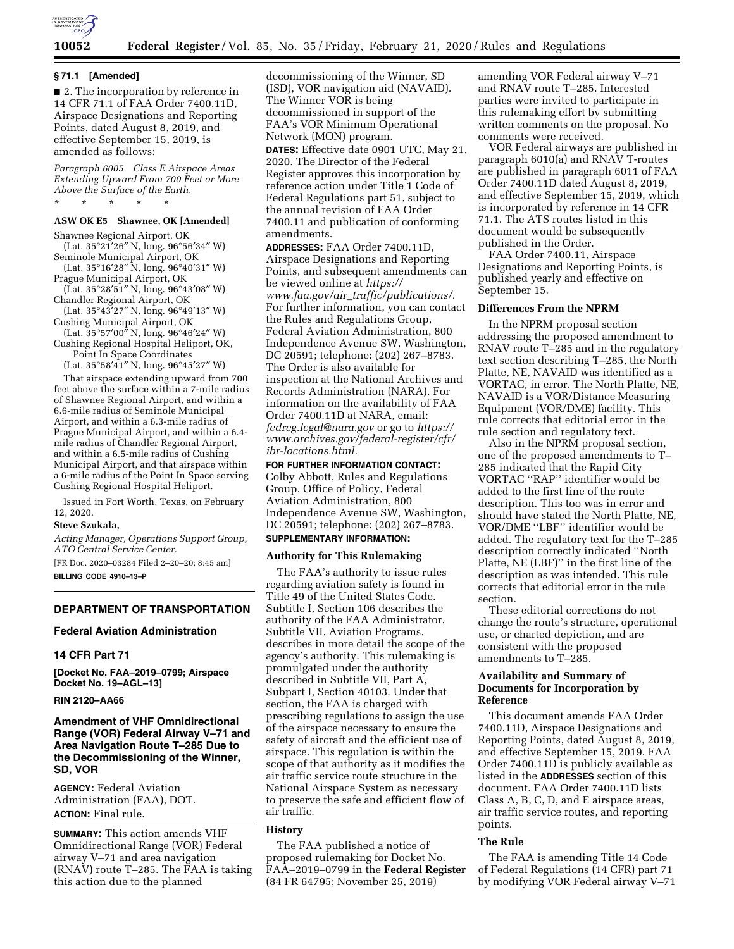

## **10052 Federal Register** / Vol. 85, No. 35 / Friday, February 21, 2020 / Rules and Regulations

#### **§ 71.1 [Amended]**

■ 2. The incorporation by reference in 14 CFR 71.1 of FAA Order 7400.11D, Airspace Designations and Reporting Points, dated August 8, 2019, and effective September 15, 2019, is amended as follows:

*Paragraph 6005 Class E Airspace Areas Extending Upward From 700 Feet or More Above the Surface of the Earth.*  \* \* \* \* \*

### **ASW OK E5 Shawnee, OK [Amended]**

Shawnee Regional Airport, OK (Lat. 35°21′26″ N, long. 96°56′34″ W) Seminole Municipal Airport, OK (Lat. 35°16′28″ N, long. 96°40′31″ W) Prague Municipal Airport, OK (Lat. 35°28′51″ N, long. 96°43′08″ W) Chandler Regional Airport, OK (Lat. 35°43′27″ N, long. 96°49′13″ W) Cushing Municipal Airport, OK  $(Lat. 35°57'00'' N, long. 96°46'24'' W)$ 

Cushing Regional Hospital Heliport, OK, Point In Space Coordinates (Lat. 35°58′41″ N, long. 96°45′27″ W)

That airspace extending upward from 700 feet above the surface within a 7-mile radius of Shawnee Regional Airport, and within a 6.6-mile radius of Seminole Municipal Airport, and within a 6.3-mile radius of Prague Municipal Airport, and within a 6.4 mile radius of Chandler Regional Airport, and within a 6.5-mile radius of Cushing Municipal Airport, and that airspace within a 6-mile radius of the Point In Space serving Cushing Regional Hospital Heliport.

Issued in Fort Worth, Texas, on February 12, 2020.

#### **Steve Szukala,**

*Acting Manager, Operations Support Group, ATO Central Service Center.* 

[FR Doc. 2020–03284 Filed 2–20–20; 8:45 am] **BILLING CODE 4910–13–P** 

# **DEPARTMENT OF TRANSPORTATION**

### **Federal Aviation Administration**

#### **14 CFR Part 71**

**[Docket No. FAA–2019–0799; Airspace Docket No. 19–AGL–13]** 

## **RIN 2120–AA66**

# **Amendment of VHF Omnidirectional Range (VOR) Federal Airway V–71 and Area Navigation Route T–285 Due to the Decommissioning of the Winner, SD, VOR**

**AGENCY:** Federal Aviation Administration (FAA), DOT. **ACTION:** Final rule.

**SUMMARY:** This action amends VHF Omnidirectional Range (VOR) Federal airway V–71 and area navigation (RNAV) route T–285. The FAA is taking this action due to the planned

decommissioning of the Winner, SD (ISD), VOR navigation aid (NAVAID). The Winner VOR is being decommissioned in support of the FAA's VOR Minimum Operational Network (MON) program.

**DATES:** Effective date 0901 UTC, May 21, 2020. The Director of the Federal Register approves this incorporation by reference action under Title 1 Code of Federal Regulations part 51, subject to the annual revision of FAA Order 7400.11 and publication of conforming amendments.

**ADDRESSES:** FAA Order 7400.11D, Airspace Designations and Reporting Points, and subsequent amendments can be viewed online at *[https://](https://www.faa.gov/air_traffic/publications/) www.faa.gov/air*\_*[traffic/publications/.](https://www.faa.gov/air_traffic/publications/)*  For further information, you can contact the Rules and Regulations Group, Federal Aviation Administration, 800 Independence Avenue SW, Washington, DC 20591; telephone: (202) 267–8783. The Order is also available for inspection at the National Archives and Records Administration (NARA). For information on the availability of FAA Order 7400.11D at NARA, email: *[fedreg.legal@nara.gov](mailto:fedreg.legal@nara.gov)* or go to *[https://](https://www.archives.gov/federal-register/cfr/ibr-locations.html) [www.archives.gov/federal-register/cfr/](https://www.archives.gov/federal-register/cfr/ibr-locations.html)  [ibr-locations.html.](https://www.archives.gov/federal-register/cfr/ibr-locations.html)* 

**FOR FURTHER INFORMATION CONTACT:**  Colby Abbott, Rules and Regulations Group, Office of Policy, Federal Aviation Administration, 800 Independence Avenue SW, Washington, DC 20591; telephone: (202) 267–8783. **SUPPLEMENTARY INFORMATION:** 

### **Authority for This Rulemaking**

The FAA's authority to issue rules regarding aviation safety is found in Title 49 of the United States Code. Subtitle I, Section 106 describes the authority of the FAA Administrator. Subtitle VII, Aviation Programs, describes in more detail the scope of the agency's authority. This rulemaking is promulgated under the authority described in Subtitle VII, Part A, Subpart I, Section 40103. Under that section, the FAA is charged with prescribing regulations to assign the use of the airspace necessary to ensure the safety of aircraft and the efficient use of airspace. This regulation is within the scope of that authority as it modifies the air traffic service route structure in the National Airspace System as necessary to preserve the safe and efficient flow of air traffic.

### **History**

The FAA published a notice of proposed rulemaking for Docket No. FAA–2019–0799 in the **Federal Register**  (84 FR 64795; November 25, 2019)

amending VOR Federal airway V–71 and RNAV route T–285. Interested parties were invited to participate in this rulemaking effort by submitting written comments on the proposal. No comments were received.

VOR Federal airways are published in paragraph 6010(a) and RNAV T-routes are published in paragraph 6011 of FAA Order 7400.11D dated August 8, 2019, and effective September 15, 2019, which is incorporated by reference in 14 CFR 71.1. The ATS routes listed in this document would be subsequently published in the Order.

FAA Order 7400.11, Airspace Designations and Reporting Points, is published yearly and effective on September 15.

### **Differences From the NPRM**

In the NPRM proposal section addressing the proposed amendment to RNAV route T–285 and in the regulatory text section describing T–285, the North Platte, NE, NAVAID was identified as a VORTAC, in error. The North Platte, NE, NAVAID is a VOR/Distance Measuring Equipment (VOR/DME) facility. This rule corrects that editorial error in the rule section and regulatory text.

Also in the NPRM proposal section, one of the proposed amendments to T– 285 indicated that the Rapid City VORTAC ''RAP'' identifier would be added to the first line of the route description. This too was in error and should have stated the North Platte, NE, VOR/DME ''LBF'' identifier would be added. The regulatory text for the T–285 description correctly indicated ''North Platte, NE (LBF)'' in the first line of the description as was intended. This rule corrects that editorial error in the rule section.

These editorial corrections do not change the route's structure, operational use, or charted depiction, and are consistent with the proposed amendments to T–285.

## **Availability and Summary of Documents for Incorporation by Reference**

This document amends FAA Order 7400.11D, Airspace Designations and Reporting Points, dated August 8, 2019, and effective September 15, 2019. FAA Order 7400.11D is publicly available as listed in the **ADDRESSES** section of this document. FAA Order 7400.11D lists Class A, B, C, D, and E airspace areas, air traffic service routes, and reporting points.

### **The Rule**

The FAA is amending Title 14 Code of Federal Regulations (14 CFR) part 71 by modifying VOR Federal airway V–71